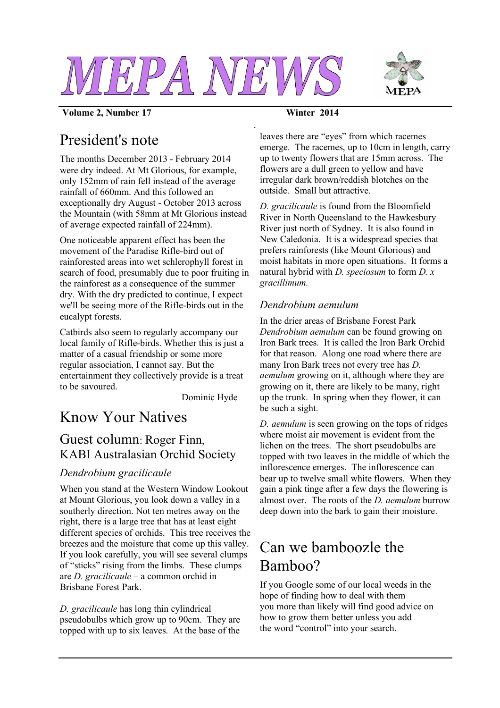



#### **Volume 2, Number 17 Winter 2014**

*.*

## President's note

The months December 2013 - February 2014 were dry indeed. At Mt Glorious, for example, only 152mm of rain fell instead of the average rainfall of 660mm. And this followed an exceptionally dry August - October 2013 across the Mountain (with 58mm at Mt Glorious instead of average expected rainfall of 224mm).

One noticeable apparent effect has been the movement of the Paradise Rifle-bird out of rainforested areas into wet schlerophyll forest in search of food, presumably due to poor fruiting in the rainforest as a consequence of the summer dry. With the dry predicted to continue, I expect we'll be seeing more of the Rifle-birds out in the eucalypt forests.

Catbirds also seem to regularly accompany our local family of Rifle-birds. Whether this is just a matter of a casual friendship or some more regular association, I cannot say. But the entertainment they collectively provide is a treat to be savoured.

Dominic Hyde

## Know Your Natives

## Guest column: Roger Finn, KABI Australasian Orchid Society

#### *Dendrobium gracilicaule*

When you stand at the Western Window Lookout at Mount Glorious, you look down a valley in a southerly direction. Not ten metres away on the right, there is a large tree that has at least eight different species of orchids. This tree receives the breezes and the moisture that come up this valley. If you look carefully, you will see several clumps of "sticks" rising from the limbs. These clumps are *D. gracilicaule* – a common orchid in Brisbane Forest Park.

*D. gracilicaule* has long thin cylindrical pseudobulbs which grow up to 90cm. They are topped with up to six leaves. At the base of the leaves there are "eyes" from which racemes emerge. The racemes, up to 10cm in length, carry up to twenty flowers that are 15mm across. The flowers are a dull green to yellow and have irregular dark brown/reddish blotches on the outside. Small but attractive.

*D. gracilicaule* is found from the Bloomfield River in North Queensland to the Hawkesbury River just north of Sydney. It is also found in New Caledonia. It is a widespread species that prefers rainforests (like Mount Glorious) and moist habitats in more open situations. It forms a natural hybrid with *D. speciosum* to form *D. x gracillimum.*

#### *Dendrobium aemulum*

In the drier areas of Brisbane Forest Park *Dendrobium aemulum* can be found growing on Iron Bark trees. It is called the Iron Bark Orchid for that reason. Along one road where there are many Iron Bark trees not every tree has *D. aemulum* growing on it, although where they are growing on it, there are likely to be many, right up the trunk. In spring when they flower, it can be such a sight.

*D. aemulum* is seen growing on the tops of ridges where moist air movement is evident from the lichen on the trees. The short pseudobulbs are topped with two leaves in the middle of which the inflorescence emerges. The inflorescence can bear up to twelve small white flowers. When they gain a pink tinge after a few days the flowering is almost over. The roots of the *D. aemulum* burrow deep down into the bark to gain their moisture.

# Can we bamboozle the Bamboo?

If you Google some of our local weeds in the hope of finding how to deal with them you more than likely will find good advice on how to grow them better unless you add the word "control" into your search.